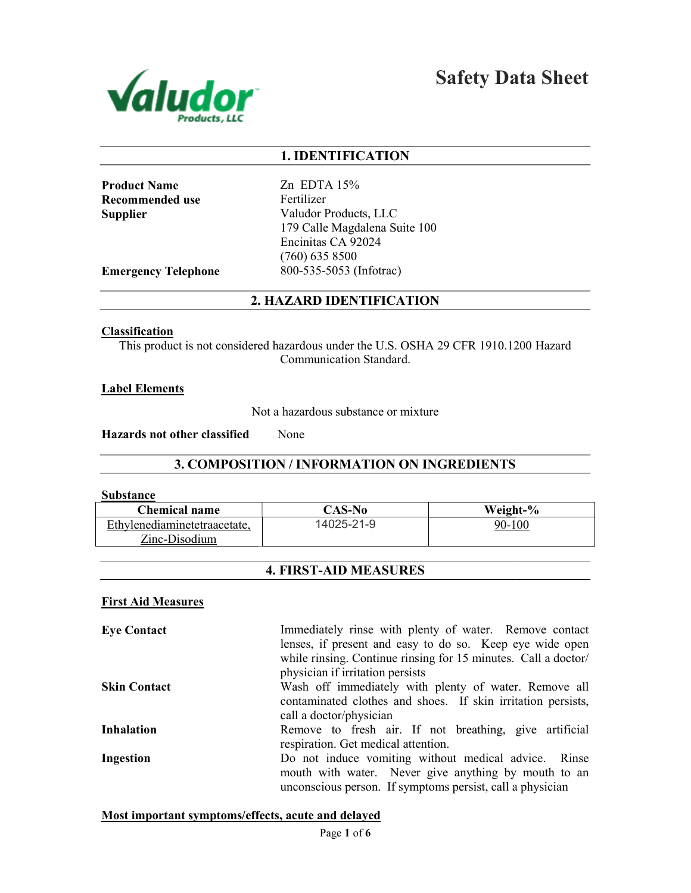

Safety Data Sheet

# 1. IDENTIFICATION

Product Name Recommended use **Supplier** 

Zn EDTA 15% Fertilizer Valudor Products, LLC 179 Calle Magdalena Suite 100 Encinitas CA 92024 (760) 635 8500 800-535-5053 (Infotrac)

Emergency Telephone

# 2. HAZARD IDENTIFICATION

#### Classification

This product is not considered hazardous under the U.S. OSHA 29 CFR 1910.1200 Hazard<br>Communication Standard.

## Label Elements

Not a hazardous substance or mixture

Hazards not other classified None

# 3. COMPOSITION / INFORMATION ON INGREDIENTS

#### **Substance**

| <b>Chemical name</b>         | CAS-No     | Weight-%                                               |
|------------------------------|------------|--------------------------------------------------------|
| Ethylenediaminetetraacetate. | 14025-21-9 | 90-100                                                 |
| Zinc-Disodium                |            |                                                        |
|                              |            |                                                        |
| <b>4. FIRST-AID MEASURES</b> |            |                                                        |
| <b>First Aid Measures</b>    |            |                                                        |
| <b>Eve Contact</b>           |            | Immediately rinse with plenty of water. Remove contact |

# 4. FIRST-AID MEASURES

## First Aid Measures

Eye Contact Skin Contact Inhalation Ingestion lenses, if present and easy to do so. Keep eye wide open while rinsing. Continue rinsing for 15 minutes. Call a doctor/ physician if irritation persists Wash off immediately with plenty of water. Remove all Wash off immediately with plenty of water. Remove all contaminated clothes and shoes. If skin irritation persists, call a doctor/physician Remove to fresh air. If not breathing, give artificial Remove respiration. Get medical attention. Do not induce vomiting without medical advice. Rinse mouth with water. Never give anything by mouth to an unconscious person. If symptoms persist, call a physician Do not induce vomiting without medical advice. Rinse<br>mouth with water. Never give anything by mouth to an<br>unconscious person. If symptoms persist, call a physician

# Most important symptoms/effects, acute and delayed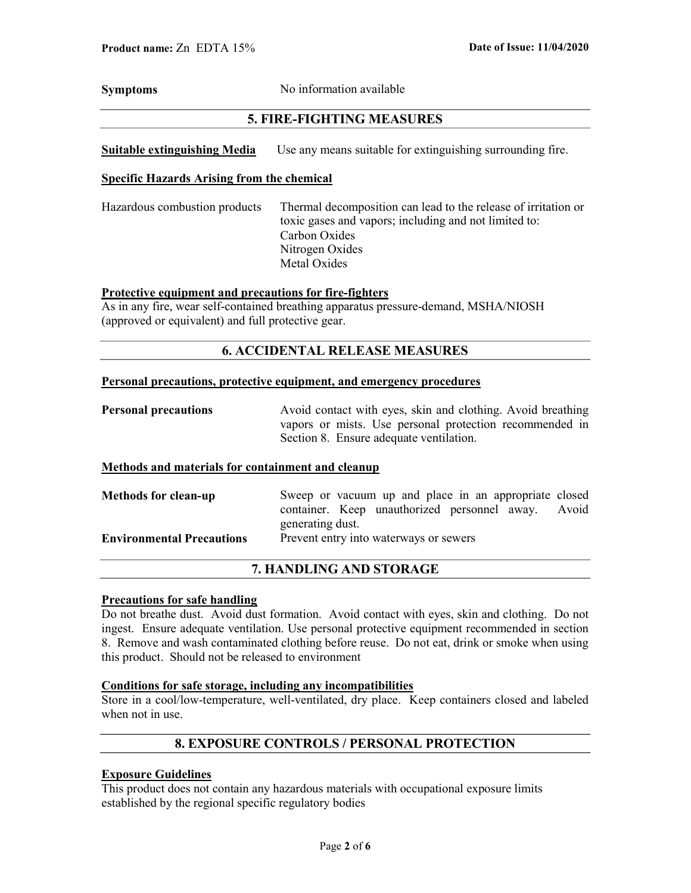Symptoms No information available

# 5. FIRE-FIGHTING MEASURES

Suitable extinguishing Media Use any means suitable for extinguishing surrounding fire.

## Specific Hazards Arising from the chemical

Hazardous combustion products Thermal decomposition can lead to the release of irritation or toxic gases and vapors; including and not limited to: Carbon Oxides Nitrogen Oxides Metal Oxides

# Protective equipment and precautions for fire-fighters

As in any fire, wear self-contained breathing apparatus pressure-demand, MSHA/NIOSH (approved or equivalent) and full protective gear.

## 6. ACCIDENTAL RELEASE MEASURES

#### Personal precautions, protective equipment, and emergency procedures

**Personal precautions** Avoid contact with eyes, skin and clothing. Avoid breathing vapors or mists. Use personal protection recommended in Section 8. Ensure adequate ventilation.

#### Methods and materials for containment and cleanup

| <b>Methods for clean-up</b>      | Sweep or vacuum up and place in an appropriate closed |  |
|----------------------------------|-------------------------------------------------------|--|
|                                  | container. Keep unauthorized personnel away. Avoid    |  |
|                                  | generating dust.                                      |  |
| <b>Environmental Precautions</b> | Prevent entry into waterways or sewers                |  |

# 7. HANDLING AND STORAGE

## Precautions for safe handling

Do not breathe dust. Avoid dust formation. Avoid contact with eyes, skin and clothing. Do not ingest. Ensure adequate ventilation. Use personal protective equipment recommended in section 8. Remove and wash contaminated clothing before reuse. Do not eat, drink or smoke when using this product. Should not be released to environment

## Conditions for safe storage, including any incompatibilities

Store in a cool/low-temperature, well-ventilated, dry place. Keep containers closed and labeled when not in use.

# 8. EXPOSURE CONTROLS / PERSONAL PROTECTION

# Exposure Guidelines

This product does not contain any hazardous materials with occupational exposure limits established by the regional specific regulatory bodies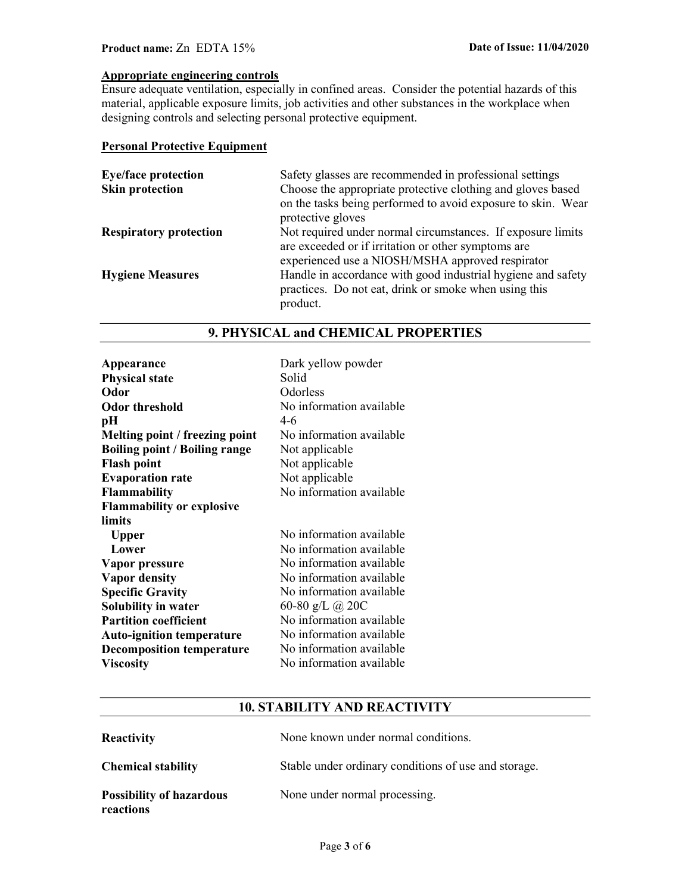# Product name: Zn EDTA 15% Date of Issue: 11/04/2020

## Appropriate engineering controls

Ensure adequate ventilation, especially in confined areas. Consider the potential hazards of this material, applicable exposure limits, job activities and other substances in the workplace when designing controls and selecting personal protective equipment.

## Personal Protective Equipment

| <b>Eye/face protection</b>    | Safety glasses are recommended in professional settings      |
|-------------------------------|--------------------------------------------------------------|
| <b>Skin protection</b>        | Choose the appropriate protective clothing and gloves based  |
|                               | on the tasks being performed to avoid exposure to skin. Wear |
|                               | protective gloves                                            |
| <b>Respiratory protection</b> | Not required under normal circumstances. If exposure limits  |
|                               | are exceeded or if irritation or other symptoms are          |
|                               | experienced use a NIOSH/MSHA approved respirator             |
| <b>Hygiene Measures</b>       | Handle in accordance with good industrial hygiene and safety |
|                               | practices. Do not eat, drink or smoke when using this        |
|                               | product.                                                     |

# 9. PHYSICAL and CHEMICAL PROPERTIES

| Appearance                           | Dark yellow powder       |
|--------------------------------------|--------------------------|
| <b>Physical state</b>                | Solid                    |
| Odor                                 | Odorless                 |
| <b>Odor threshold</b>                | No information available |
| pН                                   | $4 - 6$                  |
| Melting point / freezing point       | No information available |
| <b>Boiling point / Boiling range</b> | Not applicable           |
| <b>Flash point</b>                   | Not applicable           |
| <b>Evaporation rate</b>              | Not applicable           |
| <b>Flammability</b>                  | No information available |
| <b>Flammability or explosive</b>     |                          |
| limits                               |                          |
| <b>Upper</b>                         | No information available |
| Lower                                | No information available |
| Vapor pressure                       | No information available |
| <b>Vapor density</b>                 | No information available |
| <b>Specific Gravity</b>              | No information available |
| <b>Solubility in water</b>           | 60-80 g/L @ 20C          |
| <b>Partition coefficient</b>         | No information available |
| <b>Auto-ignition temperature</b>     | No information available |
| <b>Decomposition temperature</b>     | No information available |
| <b>Viscosity</b>                     | No information available |

# 10. STABILITY AND REACTIVITY

| Reactivity                                   | None known under normal conditions.                  |
|----------------------------------------------|------------------------------------------------------|
| <b>Chemical stability</b>                    | Stable under ordinary conditions of use and storage. |
| <b>Possibility of hazardous</b><br>reactions | None under normal processing.                        |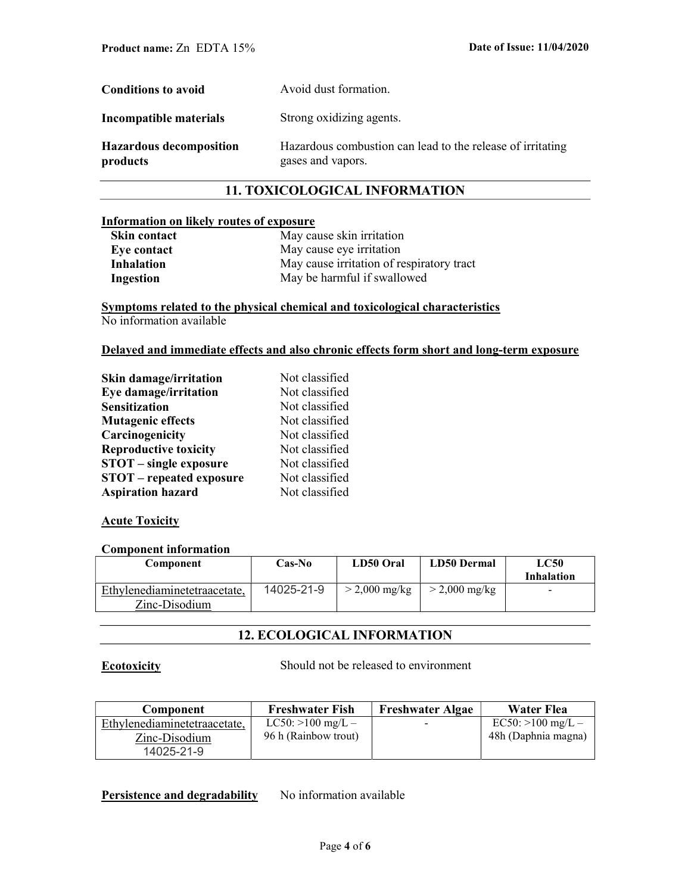| <b>Conditions to avoid</b>                 | Avoid dust formation.                                                           |
|--------------------------------------------|---------------------------------------------------------------------------------|
| Incompatible materials                     | Strong oxidizing agents.                                                        |
| <b>Hazardous decomposition</b><br>products | Hazardous combustion can lead to the release of irritating<br>gases and vapors. |

# 11. TOXICOLOGICAL INFORMATION

# Information on likely routes of exposure

| Skin contact | May cause skin irritation                 |
|--------------|-------------------------------------------|
| Eye contact  | May cause eye irritation                  |
| Inhalation   | May cause irritation of respiratory tract |
| Ingestion    | May be harmful if swallowed               |

# Symptoms related to the physical chemical and toxicological characteristics No information available

## Delayed and immediate effects and also chronic effects form short and long-term exposure

| Skin damage/irritation          | Not classified |
|---------------------------------|----------------|
| Eye damage/irritation           | Not classified |
| <b>Sensitization</b>            | Not classified |
| <b>Mutagenic effects</b>        | Not classified |
| Carcinogenicity                 | Not classified |
| <b>Reproductive toxicity</b>    | Not classified |
| <b>STOT</b> – single exposure   | Not classified |
| <b>STOT</b> – repeated exposure | Not classified |
| <b>Aspiration hazard</b>        | Not classified |

## **Acute Toxicity**

## Component information

| Component                                     | <b>Cas-No</b> | LD50 Oral               | <b>LD50 Dermal</b>      | LC50<br>Inhalation       |
|-----------------------------------------------|---------------|-------------------------|-------------------------|--------------------------|
| Ethylenediaminetetraacetate,<br>Zinc-Disodium | 14025-21-9    | $> 2,000 \text{ mg/kg}$ | $> 2,000 \text{ mg/kg}$ | $\overline{\phantom{a}}$ |

# 12. ECOLOGICAL INFORMATION

Ecotoxicity Should not be released to environment

| Component                    | <b>Freshwater Fish</b> | <b>Freshwater Algae</b> | Water Flea          |
|------------------------------|------------------------|-------------------------|---------------------|
| Ethylenediaminetetraacetate, | $LC50:>100$ mg/L –     | $\sim$                  | $EC50:>100$ mg/L –  |
| Zinc-Disodium                | 96 h (Rainbow trout)   |                         | 48h (Daphnia magna) |
| 14025-21-9                   |                        |                         |                     |

Persistence and degradability No information available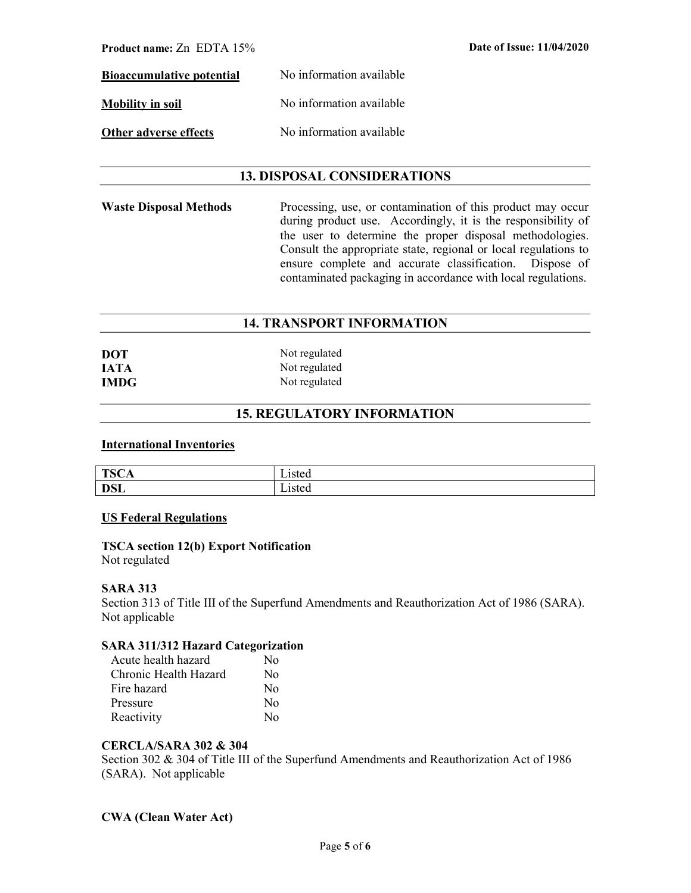| <b>Product name:</b> $Zn$ EDTA $15\%$ |                          | Date of Issue: 11/04/2020 |
|---------------------------------------|--------------------------|---------------------------|
| <b>Bioaccumulative potential</b>      | No information available |                           |
| <b>Mobility in soil</b>               | No information available |                           |
| Other adverse effects                 | No information available |                           |

# 13. DISPOSAL CONSIDERATIONS

Waste Disposal Methods Processing, use, or contamination of this product may occur during product use. Accordingly, it is the responsibility of the user to determine the proper disposal methodologies. Consult the appropriate state, regional or local regulations to ensure complete and accurate classification. Dispose of contaminated packaging in accordance with local regulations.

# 14. TRANSPORT INFORMATION

| <b>DOT</b>  | Not regulated |
|-------------|---------------|
| <b>JATA</b> | Not regulated |
| <b>IMDG</b> | Not regulated |

# 15. REGULATORY INFORMATION

## International Inventories

| <b>TSC4</b><br>- 20<br>ᆂᇦ<br>$\sim$ | ----<br>sicu |
|-------------------------------------|--------------|
| <b>DSL</b>                          | -15 w        |

## US Federal Regulations

## TSCA section 12(b) Export Notification Not regulated

## SARA 313

Section 313 of Title III of the Superfund Amendments and Reauthorization Act of 1986 (SARA). Not applicable

## SARA 311/312 Hazard Categorization

| Acute health hazard   | N٥             |
|-----------------------|----------------|
| Chronic Health Hazard | No             |
| Fire hazard           | N <sub>0</sub> |
| Pressure              | No             |
| Reactivity            | $N_{\Omega}$   |

# CERCLA/SARA 302 & 304

Section 302 & 304 of Title III of the Superfund Amendments and Reauthorization Act of 1986 (SARA). Not applicable

# CWA (Clean Water Act)